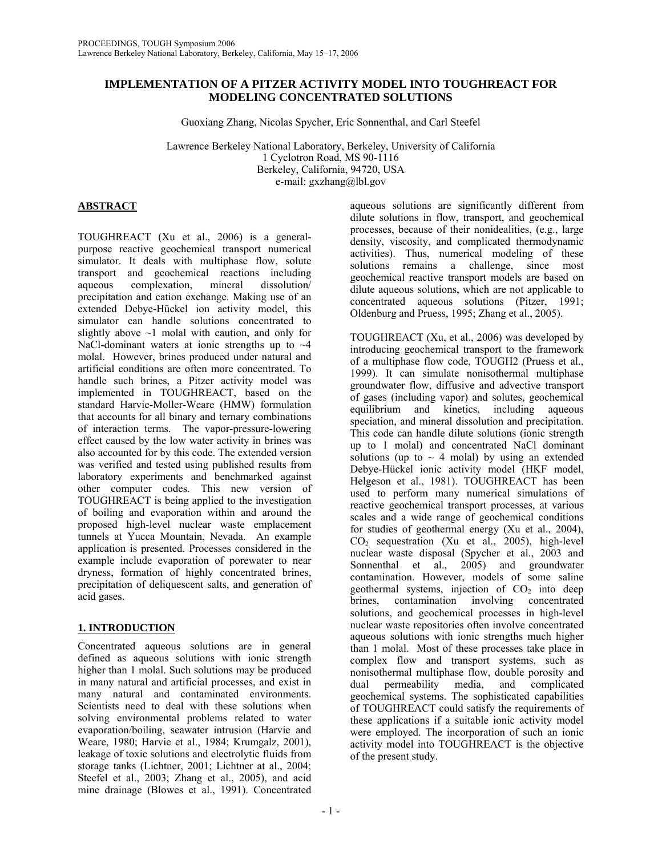# **IMPLEMENTATION OF A PITZER ACTIVITY MODEL INTO TOUGHREACT FOR MODELING CONCENTRATED SOLUTIONS**

Guoxiang Zhang, Nicolas Spycher, Eric Sonnenthal, and Carl Steefel

Lawrence Berkeley National Laboratory, Berkeley, University of California 1 Cyclotron Road, MS 90-1116 Berkeley, California, 94720, USA e-mail: gxzhang@lbl.gov

# **ABSTRACT**

TOUGHREACT (Xu et al., 2006) is a generalpurpose reactive geochemical transport numerical simulator. It deals with multiphase flow, solute transport and geochemical reactions including aqueous complexation, mineral dissolution/ precipitation and cation exchange. Making use of an extended Debye-Hückel ion activity model, this simulator can handle solutions concentrated to slightly above  $\sim$ 1 molal with caution, and only for NaCl-dominant waters at ionic strengths up to  $\sim$ 4 molal. However, brines produced under natural and artificial conditions are often more concentrated. To handle such brines, a Pitzer activity model was implemented in TOUGHREACT, based on the standard Harvie-Moller-Weare (HMW) formulation that accounts for all binary and ternary combinations of interaction terms. The vapor-pressure-lowering effect caused by the low water activity in brines was also accounted for by this code. The extended version was verified and tested using published results from laboratory experiments and benchmarked against other computer codes. This new version of TOUGHREACT is being applied to the investigation of boiling and evaporation within and around the proposed high-level nuclear waste emplacement tunnels at Yucca Mountain, Nevada. An example application is presented. Processes considered in the example include evaporation of porewater to near dryness, formation of highly concentrated brines, precipitation of deliquescent salts, and generation of acid gases.

# **1. INTRODUCTION**

Concentrated aqueous solutions are in general defined as aqueous solutions with ionic strength higher than 1 molal. Such solutions may be produced in many natural and artificial processes, and exist in many natural and contaminated environments. Scientists need to deal with these solutions when solving environmental problems related to water evaporation/boiling, seawater intrusion (Harvie and Weare, 1980; Harvie et al., 1984; Krumgalz, 2001), leakage of toxic solutions and electrolytic fluids from storage tanks (Lichtner, 2001; Lichtner at al., 2004; Steefel et al., 2003; Zhang et al., 2005), and acid mine drainage (Blowes et al., 1991). Concentrated

aqueous solutions are significantly different from dilute solutions in flow, transport, and geochemical processes, because of their nonidealities, (e.g., large density, viscosity, and complicated thermodynamic activities). Thus, numerical modeling of these solutions remains a challenge, since most geochemical reactive transport models are based on dilute aqueous solutions, which are not applicable to concentrated aqueous solutions (Pitzer, 1991; Oldenburg and Pruess, 1995; Zhang et al., 2005).

TOUGHREACT (Xu, et al., 2006) was developed by introducing geochemical transport to the framework of a multiphase flow code, TOUGH2 (Pruess et al., 1999). It can simulate nonisothermal multiphase groundwater flow, diffusive and advective transport of gases (including vapor) and solutes, geochemical equilibrium and kinetics, including aqueous speciation, and mineral dissolution and precipitation. This code can handle dilute solutions (ionic strength up to 1 molal) and concentrated NaCl dominant solutions (up to  $\sim$  4 molal) by using an extended Debye-Hückel ionic activity model (HKF model, Helgeson et al., 1981). TOUGHREACT has been used to perform many numerical simulations of reactive geochemical transport processes, at various scales and a wide range of geochemical conditions for studies of geothermal energy (Xu et al., 2004),  $CO<sub>2</sub>$  sequestration (Xu et al., 2005), high-level nuclear waste disposal (Spycher et al., 2003 and Sonnenthal et al., 2005) and groundwater contamination. However, models of some saline geothermal systems, injection of  $CO<sub>2</sub>$  into deep<br>brines, contamination involving concentrated contamination involving solutions, and geochemical processes in high-level nuclear waste repositories often involve concentrated aqueous solutions with ionic strengths much higher than 1 molal. Most of these processes take place in complex flow and transport systems, such as nonisothermal multiphase flow, double porosity and dual permeability media, and complicated geochemical systems. The sophisticated capabilities of TOUGHREACT could satisfy the requirements of these applications if a suitable ionic activity model were employed. The incorporation of such an ionic activity model into TOUGHREACT is the objective of the present study.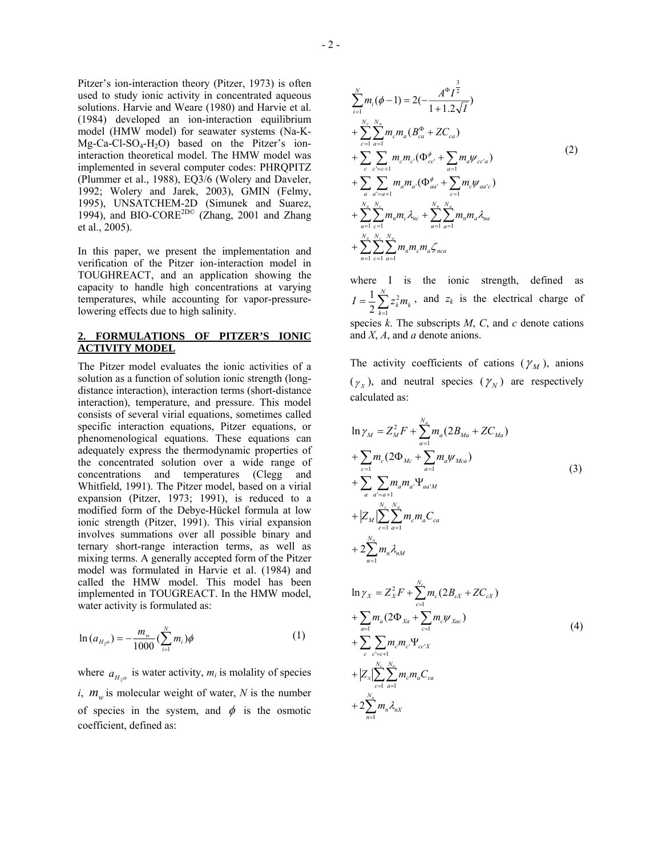Pitzer's ion-interaction theory (Pitzer, 1973) is often used to study ionic activity in concentrated aqueous solutions. Harvie and Weare (1980) and Harvie et al. (1984) developed an ion-interaction equilibrium model (HMW model) for seawater systems (Na-K- $Mg-Ca-Cl-SO<sub>4</sub>-H<sub>2</sub>O$  based on the Pitzer's ioninteraction theoretical model. The HMW model was implemented in several computer codes: PHRQPITZ (Plummer et al., 1988), EQ3/6 (Wolery and Daveler, 1992; Wolery and Jarek, 2003), GMIN (Felmy, 1995), UNSATCHEM-2D (Simunek and Suarez, 1994), and BIO-CORE<sup>2D©</sup> (Zhang, 2001 and Zhang et al., 2005).

In this paper, we present the implementation and verification of the Pitzer ion-interaction model in TOUGHREACT, and an application showing the capacity to handle high concentrations at varying temperatures, while accounting for vapor-pressurelowering effects due to high salinity.

## **2. FORMULATIONS OF PITZER'S IONIC ACTIVITY MODEL**

The Pitzer model evaluates the ionic activities of a solution as a function of solution ionic strength (longdistance interaction), interaction terms (short-distance interaction), temperature, and pressure. This model consists of several virial equations, sometimes called specific interaction equations, Pitzer equations, or phenomenological equations. These equations can adequately express the thermodynamic properties of the concentrated solution over a wide range of concentrations and temperatures (Clegg and Whitfield, 1991). The Pitzer model, based on a virial expansion (Pitzer, 1973; 1991), is reduced to a modified form of the Debye-Hückel formula at low ionic strength (Pitzer, 1991). This virial expansion involves summations over all possible binary and ternary short-range interaction terms, as well as mixing terms. A generally accepted form of the Pitzer model was formulated in Harvie et al. (1984) and called the HMW model. This model has been implemented in TOUGREACT. In the HMW model, water activity is formulated as:

$$
\ln(a_{H_{2^o}}) = -\frac{m_w}{1000} \left(\sum_{i=1}^N m_i\right) \phi
$$
 (1)

where  $a_{H_2\rho}$  is water activity,  $m_i$  is molality of species *i*,  $m_w$  is molecular weight of water, *N* is the number of species in the system, and  $\phi$  is the osmotic coefficient, defined as:

$$
\sum_{i=1}^{N} m_i (\phi - 1) = 2(-\frac{A^{\Phi} I^{\frac{3}{2}}}{1 + 1.2\sqrt{I}})
$$
\n
$$
+ \sum_{c=1}^{N_c} \sum_{a=1}^{N_a} m_c m_a (B_{ca}^{\Phi} + Z C_{ca})
$$
\n
$$
+ \sum_{c} \sum_{c'=c+1}^{N_c} m_c m_{c'} (\Phi_{cc'}^{\phi} + \sum_{a=1}^{N_a} m_a \psi_{cc'a})
$$
\n
$$
+ \sum_{a} \sum_{a'=a+1}^{N_a} m_a m_{a'} (\Phi_{aa'}^{\phi} + \sum_{c=1}^{N_a} m_c \psi_{aa'c})
$$
\n
$$
+ \sum_{n=1}^{N_a} \sum_{c=1}^{N_c} m_n m_c \lambda_{nc} + \sum_{n=1}^{N_a} \sum_{a=1}^{N_a} m_n m_a \lambda_{na}
$$
\n
$$
+ \sum_{n=1}^{N_a} \sum_{c=1}^{N_c} \sum_{a=1}^{N_a} m_n m_c m_a \zeta_{nca}
$$
\n(2)

where I is the ionic strength, defined as  $=\frac{1}{2}\sum_{k=1}^{N}$  $I = \frac{1}{2} \sum_{k=1}^{n} z_k^2 m_k$ 2 2  $\frac{1}{2} \sum_{i=1}^{N} z_i^2 m_i$ , and  $z_k$  is the electrical charge of species  $k$ . The subscripts  $M$ ,  $C$ , and  $c$  denote cations and *X*, *A*, and *a* denote anions.

The activity coefficients of cations  $(\gamma_M)$ , anions  $(\gamma_X)$ , and neutral species  $(\gamma_N)$  are respectively calculated as:

$$
\ln \gamma_M = Z_M^2 F + \sum_{a=1}^{N_a} m_a (2B_{Ma} + ZC_{Ma})
$$
  
+ 
$$
\sum_{c=1}^{N_c} m_c (2\Phi_{Mc} + \sum_{a=1}^{N_a} m_a \Psi_{Mca})
$$
  
+ 
$$
\sum_{a} \sum_{a'=a+1}^{N_c} m_a m_{a'} \Psi_{aa'M}
$$
  
+ 
$$
|Z_M| \sum_{c=1}^{N_c} \sum_{a=1}^{N_a} m_c m_a C_{ca}
$$
  
+ 
$$
2 \sum_{n=1}^{N_n} m_n \lambda_{nM}
$$
  

$$
\ln \gamma_X = Z_X^2 F + \sum_{c=1}^{N_c} m_c (2B_{cX} + ZC_{cX})
$$
  
+ 
$$
\sum_{a=1}^{N_a} m_a (2\Phi_{Xa} + \sum_{c=1}^{N_c} m_c \Psi_{Xac})
$$
  
+ 
$$
\sum_{c} \sum_{c'=c+1}^{N_c} m_c m_c \Psi_{ccX}
$$
  
+ 
$$
|Z_X| \sum_{c=1}^{N_c} \sum_{a=1}^{N_a} m_c m_a C_{ca}
$$
  
+ 
$$
2 \sum_{n=1}^{N_a} m_n \lambda_{nX}
$$
 (4)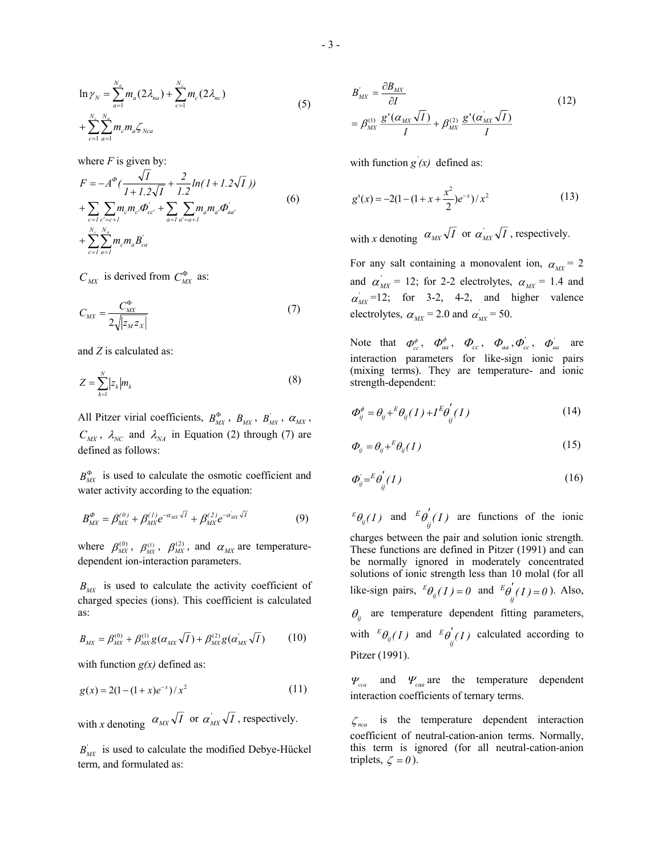$$
\ln \gamma_N = \sum_{a=1}^{N_e} m_a (2\lambda_{na}) + \sum_{c=1}^{N_c} m_c (2\lambda_{nc})
$$
  
+ 
$$
\sum_{c=1}^{N_c} \sum_{a=1}^{N_a} m_c m_a \zeta_{Nca}
$$
 (5)

where  $F$  is given by:

$$
F = -A^{\phi} \left( \frac{\sqrt{I}}{I + I \cdot 2\sqrt{I}} + \frac{2}{I \cdot 2} \ln(I + I \cdot 2\sqrt{I}) \right)
$$
  
+ 
$$
\sum_{c=I} \sum_{c'=c+I} m_c m_{c'} \Phi_{cc'} + \sum_{a=I} \sum_{a'=a+I} m_a m_{a'} \Phi_{aa'}'
$$
  
+ 
$$
\sum_{c=I}^{N_c} \sum_{a=I}^{N_a} m_c m_a B_{ca}'
$$
 (6)

 $C_{MX}$  is derived from  $C_{MX}^{\Phi}$  as:

$$
C_{MX} = \frac{C_{MX}^{\Phi}}{2\sqrt{|z_M z_X|}}\tag{7}
$$

and *Z* is calculated as:

$$
Z = \sum_{k=1}^{N} |z_k| m_k \tag{8}
$$

All Pitzer virial coefficients,  $B_{MX}^{\Phi}$ ,  $B_{MX}$ ,  $B_{MX}^{\prime}$ ,  $\alpha_{MX}$ ,  $C_{MX}$ ,  $\lambda_{NC}$  and  $\lambda_{NA}$  in Equation (2) through (7) are defined as follows:

 $B_{\scriptscriptstyle MX}^{\Phi}$  is used to calculate the osmotic coefficient and water activity according to the equation:

$$
B_{MX}^{\phi} = \beta_{MX}^{(0)} + \beta_{MX}^{(1)} e^{-\alpha_{MX}\sqrt{I}} + \beta_{MX}^{(2)} e^{-\alpha_{MX}^{'}\sqrt{I}}
$$
(9)

where  $\beta_{MX}^{(0)}$ ,  $\beta_{MX}^{(1)}$ ,  $\beta_{MX}^{(2)}$ , and  $\alpha_{MX}$  are temperaturedependent ion-interaction parameters.

 $B_{\mu\nu}$  is used to calculate the activity coefficient of charged species (ions). This coefficient is calculated as:

$$
B_{MX} = \beta_{MX}^{(0)} + \beta_{MX}^{(1)}g(\alpha_{MX}\sqrt{I}) + \beta_{MX}^{(2)}g(\alpha_{MX}^{'}\sqrt{I})
$$
 (10)

with function  $g(x)$  defined as:

$$
g(x) = 2(1 - (1 + x)e^{-x})/x^2
$$
 (11)

with *x* denoting  $\alpha_{MX} \sqrt{I}$  or  $\alpha'_{MX} \sqrt{I}$ , respectively.

 $B'_{MX}$  is used to calculate the modified Debye-Hückel term, and formulated as:

$$
B'_{MX} = \frac{\partial B_{MX}}{\partial I}
$$
  
=  $\beta_{MX}^{(1)} \frac{g'(a_{MX}\sqrt{I})}{I} + \beta_{MX}^{(2)} \frac{g'(a_{MX}\sqrt{I})}{I}$  (12)

with function  $g'(x)$  defined as:

$$
g'(x) = -2(1 - (1 + x + \frac{x^2}{2})e^{-x})/x^2
$$
 (13)

with *x* denoting  $\alpha_{MX} \sqrt{I}$  or  $\alpha'_{MX} \sqrt{I}$ , respectively.

For any salt containing a monovalent ion,  $\alpha_{\mu} = 2$ and  $\alpha'_{MX}$  = 12; for 2-2 electrolytes,  $\alpha_{MX}$  = 1.4 and  $\alpha'_{MX}$ =12; for 3-2, 4-2, and higher valence electrolytes,  $\alpha_{MX} = 2.0$  and  $\alpha_{MX} = 50$ .

Note that  $\phi_{cc}^{\phi}$ ,  $\phi_{aa}^{\phi}$ ,  $\phi_{cc}$ ,  $\phi_{aa}$ ,  $\phi_{cc}^{\prime}$ ,  $\phi_{aa}^{\prime}$  are interaction parameters for like-sign ionic pairs (mixing terms). They are temperature- and ionic strength-dependent:

$$
\Phi_{ij}^{\phi} = \theta_{ij} + \left( \theta_{ij}(I) + I^E \theta_{ij}^{'}(I) \right) \tag{14}
$$

$$
\varPhi_{ij} = \theta_{ij} + {}^E \theta_{ij}(I) \tag{15}
$$

$$
\varPhi'_{ij} = \frac{E \varphi'_{ij}}{(I)} \tag{16}
$$

 $^{E}\theta_{ij}(I)$  and  $^{E}\theta'_{ij}(I)$  are functions of the ionic charges between the pair and solution ionic strength. These functions are defined in Pitzer (1991) and can be normally ignored in moderately concentrated solutions of ionic strength less than 10 molal (for all like-sign pairs,  ${}^E\theta_{ij}(I) = 0$  and  ${}^E\theta'_{ij}(I) = 0$ ). Also, *E* θ  $E[\theta](I) =$  $\theta_{ii}$  are temperature dependent fitting parameters, with  ${}^{E}\theta_{ij}(I)$  and  ${}^{E}\theta'_{ij}(I)$  calculated according to Pitzer (1991). *E* θ

 $\Psi_{ca}$  and  $\Psi_{ca}$  are the temperature dependent interaction coefficients of ternary terms.

ζ *nca* is the temperature dependent interaction coefficient of neutral-cation-anion terms. Normally, this term is ignored (for all neutral-cation-anion triplets,  $\zeta = 0$ ).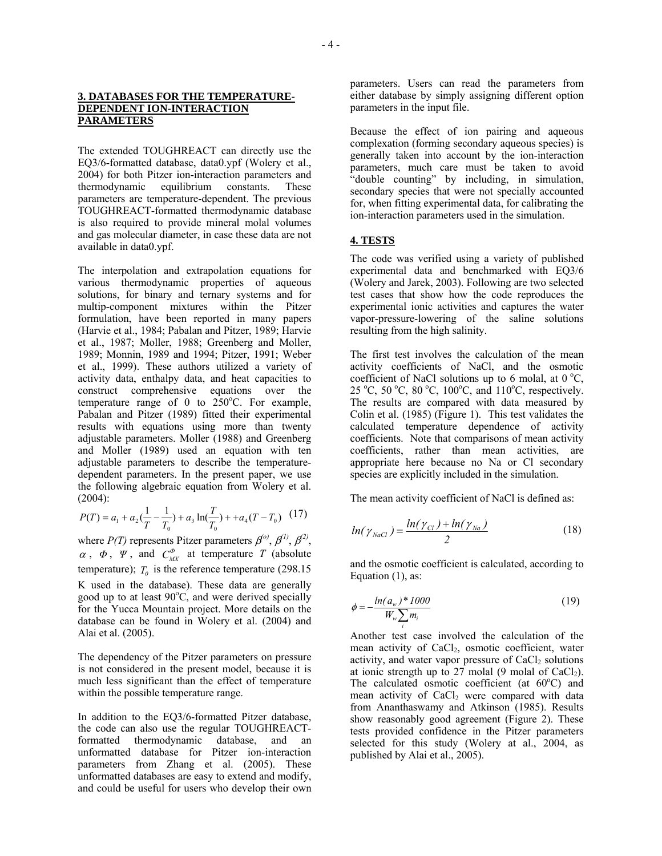### **3. DATABASES FOR THE TEMPERATURE-DEPENDENT ION-INTERACTION PARAMETERS**

The extended TOUGHREACT can directly use the EQ3/6-formatted database, data0.ypf (Wolery et al., 2004) for both Pitzer ion-interaction parameters and thermodynamic equilibrium constants. These parameters are temperature-dependent. The previous TOUGHREACT-formatted thermodynamic database is also required to provide mineral molal volumes and gas molecular diameter, in case these data are not available in data0.ypf.

The interpolation and extrapolation equations for various thermodynamic properties of aqueous solutions, for binary and ternary systems and for multip-component mixtures within the Pitzer formulation, have been reported in many papers (Harvie et al., 1984; Pabalan and Pitzer, 1989; Harvie et al., 1987; Moller, 1988; Greenberg and Moller, 1989; Monnin, 1989 and 1994; Pitzer, 1991; Weber et al., 1999). These authors utilized a variety of activity data, enthalpy data, and heat capacities to construct comprehensive equations over the temperature range of 0 to  $250^{\circ}$ C. For example, Pabalan and Pitzer (1989) fitted their experimental results with equations using more than twenty adjustable parameters. Moller (1988) and Greenberg and Moller (1989) used an equation with ten adjustable parameters to describe the temperaturedependent parameters. In the present paper, we use the following algebraic equation from Wolery et al. (2004):

$$
P(T) = a_1 + a_2 \left(\frac{1}{T} - \frac{1}{T_0}\right) + a_3 \ln\left(\frac{T}{T_0}\right) + a_4 (T - T_0) \tag{17}
$$

where  $P(T)$  represents Pitzer parameters  $\beta^{(0)}$ ,  $\beta^{(1)}$ ,  $\beta^{(2)}$ ,  $\alpha$ ,  $\Phi$ ,  $\Psi$ , and  $C_{MX}^{\phi}$  at temperature *T* (absolute temperature);  $T_0$  is the reference temperature (298.15) K used in the database). These data are generally good up to at least  $90^{\circ}$ C, and were derived specially for the Yucca Mountain project. More details on the database can be found in Wolery et al. (2004) and Alai et al. (2005).

The dependency of the Pitzer parameters on pressure is not considered in the present model, because it is much less significant than the effect of temperature within the possible temperature range.

In addition to the EQ3/6-formatted Pitzer database, the code can also use the regular TOUGHREACTformatted thermodynamic database, and an unformatted database for Pitzer ion-interaction parameters from Zhang et al. (2005). These unformatted databases are easy to extend and modify, and could be useful for users who develop their own

parameters. Users can read the parameters from either database by simply assigning different option parameters in the input file.

Because the effect of ion pairing and aqueous complexation (forming secondary aqueous species) is generally taken into account by the ion-interaction parameters, much care must be taken to avoid "double counting" by including, in simulation, secondary species that were not specially accounted for, when fitting experimental data, for calibrating the ion-interaction parameters used in the simulation.

## **4. TESTS**

The code was verified using a variety of published experimental data and benchmarked with EQ3/6 (Wolery and Jarek, 2003). Following are two selected test cases that show how the code reproduces the experimental ionic activities and captures the water vapor-pressure-lowering of the saline solutions resulting from the high salinity.

The first test involves the calculation of the mean activity coefficients of NaCl, and the osmotic coefficient of NaCl solutions up to 6 molal, at  $0^{\circ}C$ , 25 °C, 50 °C, 80 °C, 100°C, and 110°C, respectively. The results are compared with data measured by Colin et al. (1985) (Figure 1). This test validates the calculated temperature dependence of activity coefficients. Note that comparisons of mean activity coefficients, rather than mean activities, are appropriate here because no Na or Cl secondary species are explicitly included in the simulation.

The mean activity coefficient of NaCl is defined as:

$$
ln(\gamma_{NaCl}) = \frac{ln(\gamma_{Cl}) + ln(\gamma_{Na})}{2}
$$
 (18)

and the osmotic coefficient is calculated, according to Equation (1), as:

$$
\phi = -\frac{\ln(a_w)^* 1000}{W_w \sum_i m_i} \tag{19}
$$

Another test case involved the calculation of the mean activity of CaCl<sub>2</sub>, osmotic coefficient, water activity, and water vapor pressure of  $CaCl<sub>2</sub>$  solutions at ionic strength up to 27 molal (9 molal of  $CaCl<sub>2</sub>$ ). The calculated osmotic coefficient (at  $60^{\circ}$ C) and mean activity of  $CaCl<sub>2</sub>$  were compared with data from Ananthaswamy and Atkinson (1985). Results show reasonably good agreement (Figure 2). These tests provided confidence in the Pitzer parameters selected for this study (Wolery at al., 2004, as published by Alai et al., 2005).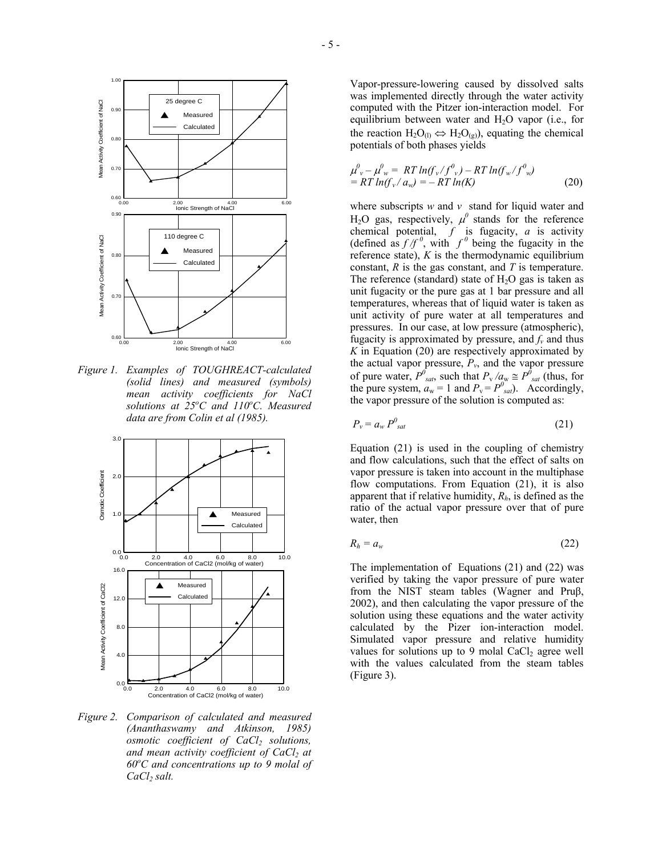

*Figure 1. Examples of TOUGHREACT-calculated (solid lines) and measured (symbols) mean activity coefficients for NaCl*  solutions at 25°C and 110°C. Measured *data are from Colin et al (1985).* 



*Figure 2. Comparison of calculated and measured (Ananthaswamy and Atkinson, 1985) osmotic coefficient of CaCl<sub>2</sub> solutions, and mean activity coefficient of CaCl<sub>2</sub> at 60o C and concentrations up to 9 molal of CaCl*, *salt.* 

Vapor-pressure-lowering caused by dissolved salts was implemented directly through the water activity computed with the Pitzer ion-interaction model. For equilibrium between water and  $H_2O$  vapor (i.e., for the reaction  $H_2O_{(1)} \Leftrightarrow H_2O_{(g)}$ , equating the chemical potentials of both phases yields

$$
\mu_v^0 - \mu_w^0 = RT \ln(f_v/f_v^0) - RT \ln(f_w/f_v^0) \n= RT \ln(f_v/a_w) = - RT \ln(K)
$$
\n(20)

where subscripts *w* and *v* stand for liquid water and  $H_2O$  gas, respectively,  $\mu^0$  stands for the reference chemical potential,  $f$  is fugacity,  $a$  is activity (defined as  $f/f^0$ , with  $f^0$  being the fugacity in the reference state),  $K$  is the thermodynamic equilibrium constant, *R* is the gas constant, and *T* is temperature. The reference (standard) state of  $H_2O$  gas is taken as unit fugacity or the pure gas at 1 bar pressure and all temperatures, whereas that of liquid water is taken as unit activity of pure water at all temperatures and pressures. In our case, at low pressure (atmospheric), fugacity is approximated by pressure, and  $f<sub>v</sub>$  and thus *K* in Equation (20) are respectively approximated by the actual vapor pressure,  $P_v$ , and the vapor pressure of pure water,  $P^{\theta}_{sat}$ , such that  $P_{\text{v}}/a_{\text{w}} \cong P^{\theta}_{sat}$  (thus, for the pure system,  $a_w = 1$  and  $P_v = P^0_{sat}$ . Accordingly, the vapor pressure of the solution is computed as:

$$
P_{v} = a_{w} P^{0}_{sat} \tag{21}
$$

Equation (21) is used in the coupling of chemistry and flow calculations, such that the effect of salts on vapor pressure is taken into account in the multiphase flow computations. From Equation (21), it is also apparent that if relative humidity, *Rh*, is defined as the ratio of the actual vapor pressure over that of pure water, then

$$
R_h = a_w \tag{22}
$$

The implementation of Equations (21) and (22) was verified by taking the vapor pressure of pure water from the NIST steam tables (Wagner and Pruβ, 2002), and then calculating the vapor pressure of the solution using these equations and the water activity calculated by the Pizer ion-interaction model. Simulated vapor pressure and relative humidity values for solutions up to 9 molal  $CaCl<sub>2</sub>$  agree well with the values calculated from the steam tables (Figure 3).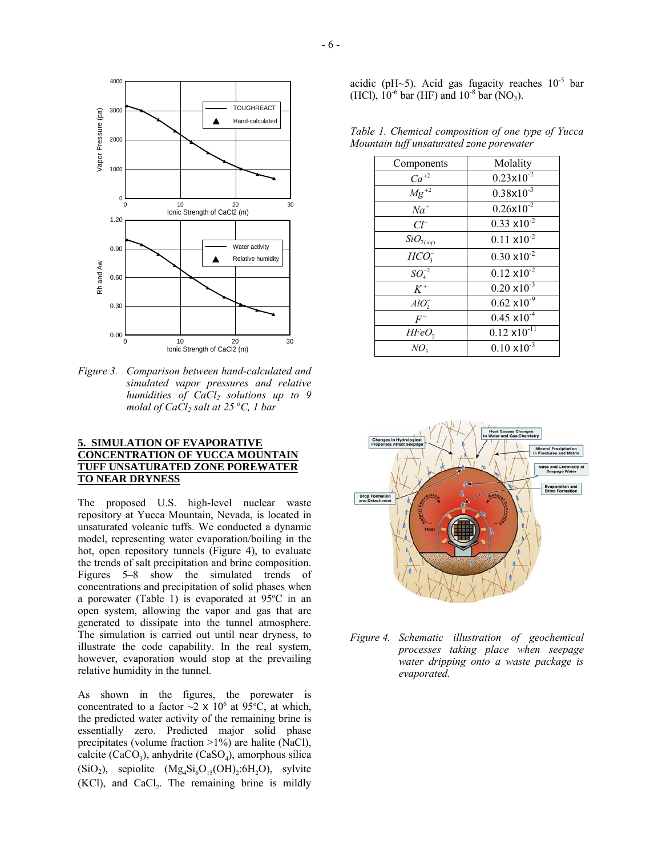

*Figure 3. Comparison between hand-calculated and simulated vapor pressures and relative humidities of CaCl<sub>2</sub> solutions up to 9 molal of CaCl2 salt at 25 o C, 1 bar* 

## **5. SIMULATION OF EVAPORATIVE CONCENTRATION OF YUCCA MOUNTAIN TUFF UNSATURATED ZONE POREWATER TO NEAR DRYNESS**

The proposed U.S. high-level nuclear waste repository at Yucca Mountain, Nevada, is located in unsaturated volcanic tuffs. We conducted a dynamic model, representing water evaporation/boiling in the hot, open repository tunnels (Figure 4), to evaluate the trends of salt precipitation and brine composition. Figures 5–8 show the simulated trends of concentrations and precipitation of solid phases when a porewater (Table 1) is evaporated at  $95^{\circ}$ C in an open system, allowing the vapor and gas that are generated to dissipate into the tunnel atmosphere. The simulation is carried out until near dryness, to illustrate the code capability. In the real system, however, evaporation would stop at the prevailing relative humidity in the tunnel.

As shown in the figures, the porewater is concentrated to a factor  $\sim$ 2 x 10<sup>6</sup> at 95 °C, at which, the predicted water activity of the remaining brine is essentially zero. Predicted major solid phase precipitates (volume fraction >1%) are halite (NaCl), calcite  $(CaCO<sub>3</sub>)$ , anhydrite  $(CaSO<sub>4</sub>)$ , amorphous silica  $(SiO<sub>2</sub>)$ , sepiolite  $(Mg<sub>4</sub>Si<sub>6</sub>O<sub>15</sub>(OH)<sub>2</sub>:6H<sub>2</sub>O)$ , sylvite  $(KCl)$ , and  $CaCl<sub>2</sub>$ . The remaining brine is mildly

acidic (pH~5). Acid gas fugacity reaches  $10^{-5}$  bar (HCl),  $10^{-6}$  bar (HF) and  $10^{-8}$  bar (NO<sub>3</sub>).

*Table 1. Chemical composition of one type of Yucca Mountain tuff unsaturated zone porewater* 

| Components             | Molality               |
|------------------------|------------------------|
|                        |                        |
| $Ca^{+2}$              | $0.23 \times 10^{-2}$  |
| $\overline{Mg}^{+2}$   | $0.38 \times 10^{-3}$  |
| $Na^{+}$               | $0.26 \times 10^{-2}$  |
| $Cl^{-}$               | $0.33 \times 10^{-2}$  |
| $\mathit{SiO}_{2(aq)}$ | $0.11 \times 10^{-2}$  |
| HCO <sub>3</sub>       | $0.30 \times 10^{-2}$  |
| $SO_4^{-2}$            | $0.12 \times 10^{-2}$  |
| $K^+$                  | $0.20 \times 10^{-3}$  |
| $AlO_{2}^{-}$          | $0.62 \times 10^{-9}$  |
| $F^-$                  | $0.45 \times 10^{-4}$  |
| $HFeO$ ,               | $0.12 \times 10^{-11}$ |
| $NO_2^-$               | $0.10 \times 10^{-3}$  |



*Figure 4. Schematic illustration of geochemical processes taking place when seepage water dripping onto a waste package is evaporated.*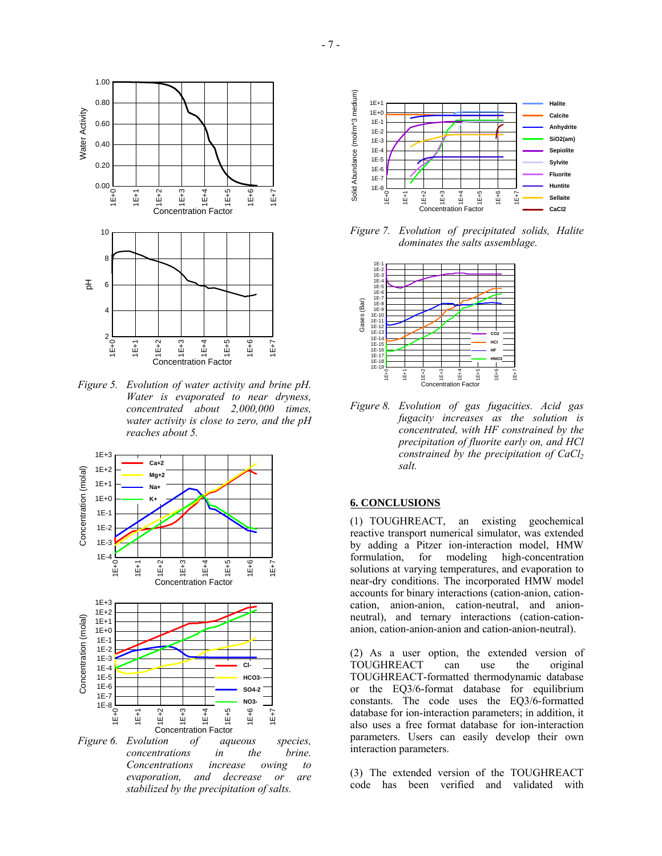

*Figure 5. Evolution of water activity and brine pH. Water is evaporated to near dryness, concentrated about 2,000,000 times, water activity is close to zero, and the pH reaches about 5.* 



*Figure 6. Evolution of aqueous species, concentrations in the brine. Concentrations increase owing to evaporation, and decrease or are stabilized by the precipitation of salts.* 



*Figure 7. Evolution of precipitated solids, Halite dominates the salts assemblage.* 



*Figure 8. Evolution of gas fugacities. Acid gas fugacity increases as the solution is concentrated, with HF constrained by the precipitation of fluorite early on, and HCl constrained by the precipitation of CaCl*<sub>2</sub> *salt.* 

## **6. CONCLUSIONS**

(1) TOUGHREACT, an existing geochemical reactive transport numerical simulator, was extended by adding a Pitzer ion-interaction model, HMW formulation, for modeling high-concentration solutions at varying temperatures, and evaporation to near-dry conditions. The incorporated HMW model accounts for binary interactions (cation-anion, cationcation, anion-anion, cation-neutral, and anionneutral), and ternary interactions (cation-cationanion, cation-anion-anion and cation-anion-neutral).

(2) As a user option, the extended version of TOUGHREACT can use the original TOUGHREACT-formatted thermodynamic database or the EQ3/6-format database for equilibrium constants. The code uses the EQ3/6-formatted database for ion-interaction parameters; in addition, it also uses a free format database for ion-interaction parameters. Users can easily develop their own interaction parameters.

(3) The extended version of the TOUGHREACT code has been verified and validated with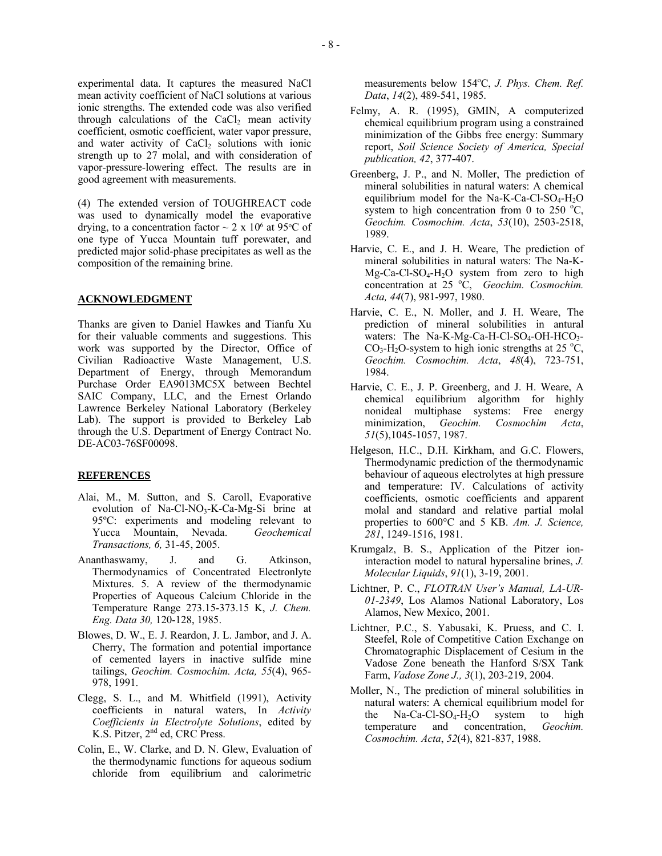experimental data. It captures the measured NaCl mean activity coefficient of NaCl solutions at various ionic strengths. The extended code was also verified through calculations of the  $CaCl<sub>2</sub>$  mean activity coefficient, osmotic coefficient, water vapor pressure, and water activity of  $CaCl<sub>2</sub>$  solutions with ionic strength up to 27 molal, and with consideration of vapor-pressure-lowering effect. The results are in good agreement with measurements.

(4) The extended version of TOUGHREACT code was used to dynamically model the evaporative drying, to a concentration factor  $\sim 2 \times 10^6$  at 95°C of one type of Yucca Mountain tuff porewater, and predicted major solid-phase precipitates as well as the composition of the remaining brine.

### **ACKNOWLEDGMENT**

Thanks are given to Daniel Hawkes and Tianfu Xu for their valuable comments and suggestions. This work was supported by the Director, Office of Civilian Radioactive Waste Management, U.S. Department of Energy, through Memorandum Purchase Order EA9013MC5X between Bechtel SAIC Company, LLC, and the Ernest Orlando Lawrence Berkeley National Laboratory (Berkeley Lab). The support is provided to Berkeley Lab through the U.S. Department of Energy Contract No. DE-AC03-76SF00098.

#### **REFERENCES**

- Alai, M., M. Sutton, and S. Caroll, Evaporative evolution of Na-Cl-NO<sub>3</sub>-K-Ca-Mg-Si brine at 95ºC: experiments and modeling relevant to Yucca Mountain, Nevada. *Geochemical Transactions, 6,* 31-45, 2005.
- Ananthaswamy, J. and G. Atkinson, Thermodynamics of Concentrated Electronlyte Mixtures. 5. A review of the thermodynamic Properties of Aqueous Calcium Chloride in the Temperature Range 273.15-373.15 K, *J. Chem. Eng. Data 30,* 120-128, 1985.
- Blowes, D. W., E. J. Reardon, J. L. Jambor, and J. A. Cherry, The formation and potential importance of cemented layers in inactive sulfide mine tailings, *Geochim. Cosmochim. Acta, 55*(4), 965- 978, 1991.
- Clegg, S. L., and M. Whitfield (1991), Activity coefficients in natural waters, In *Activity Coefficients in Electrolyte Solutions*, edited by K.S. Pitzer, 2<sup>nd</sup> ed, CRC Press.
- Colin, E., W. Clarke, and D. N. Glew, Evaluation of the thermodynamic functions for aqueous sodium chloride from equilibrium and calorimetric

measurements below 154°C, *J. Phys. Chem. Ref. Data*, *14*(2), 489-541, 1985.

- Felmy, A. R. (1995), GMIN, A computerized chemical equilibrium program using a constrained minimization of the Gibbs free energy: Summary report, *Soil Science Society of America, Special publication, 42*, 377-407.
- Greenberg, J. P., and N. Moller, The prediction of mineral solubilities in natural waters: A chemical equilibrium model for the Na-K-Ca-Cl-SO<sub>4</sub>-H<sub>2</sub>O system to high concentration from 0 to 250  $^{\circ}$ C, *Geochim. Cosmochim. Acta*, *53*(10), 2503-2518, 1989.
- Harvie, C. E., and J. H. Weare, The prediction of mineral solubilities in natural waters: The Na-K- $Mg-Ca-Cl-SO<sub>4</sub>-H<sub>2</sub>O$  system from zero to high concentration at 25 °C, *Geochim. Cosmochim. Acta, 44*(7), 981-997, 1980.
- Harvie, C. E., N. Moller, and J. H. Weare, The prediction of mineral solubilities in antural waters: The Na-K-Mg-Ca-H-Cl-SO<sub>4</sub>-OH-HCO<sub>3</sub>-CO<sub>3</sub>-H<sub>2</sub>O-system to high ionic strengths at 25 °C, *Geochim. Cosmochim. Acta*, *48*(4), 723-751, 1984.
- Harvie, C. E., J. P. Greenberg, and J. H. Weare, A chemical equilibrium algorithm for highly nonideal multiphase systems: Free energy minimization, *Geochim. Cosmochim Acta*, *51*(5),1045-1057, 1987.
- Helgeson, H.C., D.H. Kirkham, and G.C. Flowers, Thermodynamic prediction of the thermodynamic behaviour of aqueous electrolytes at high pressure and temperature: IV. Calculations of activity coefficients, osmotic coefficients and apparent molal and standard and relative partial molal properties to 600°C and 5 KB. *Am. J. Science, 281*, 1249-1516, 1981.
- Krumgalz, B. S., Application of the Pitzer ioninteraction model to natural hypersaline brines, *J. Molecular Liquids*, *91*(1), 3-19, 2001.
- Lichtner, P. C., *FLOTRAN User's Manual, LA-UR-01-2349*, Los Alamos National Laboratory, Los Alamos, New Mexico, 2001.
- Lichtner, P.C., S. Yabusaki, K. Pruess, and C. I. Steefel, Role of Competitive Cation Exchange on Chromatographic Displacement of Cesium in the Vadose Zone beneath the Hanford S/SX Tank Farm, *Vadose Zone J., 3*(1), 203-219, 2004.
- Moller, N., The prediction of mineral solubilities in natural waters: A chemical equilibrium model for the Na-Ca-Cl-SO<sub>4</sub>-H<sub>2</sub>O system to high temperature and concentration, *Geochim. Cosmochim. Acta*, *52*(4), 821-837, 1988.